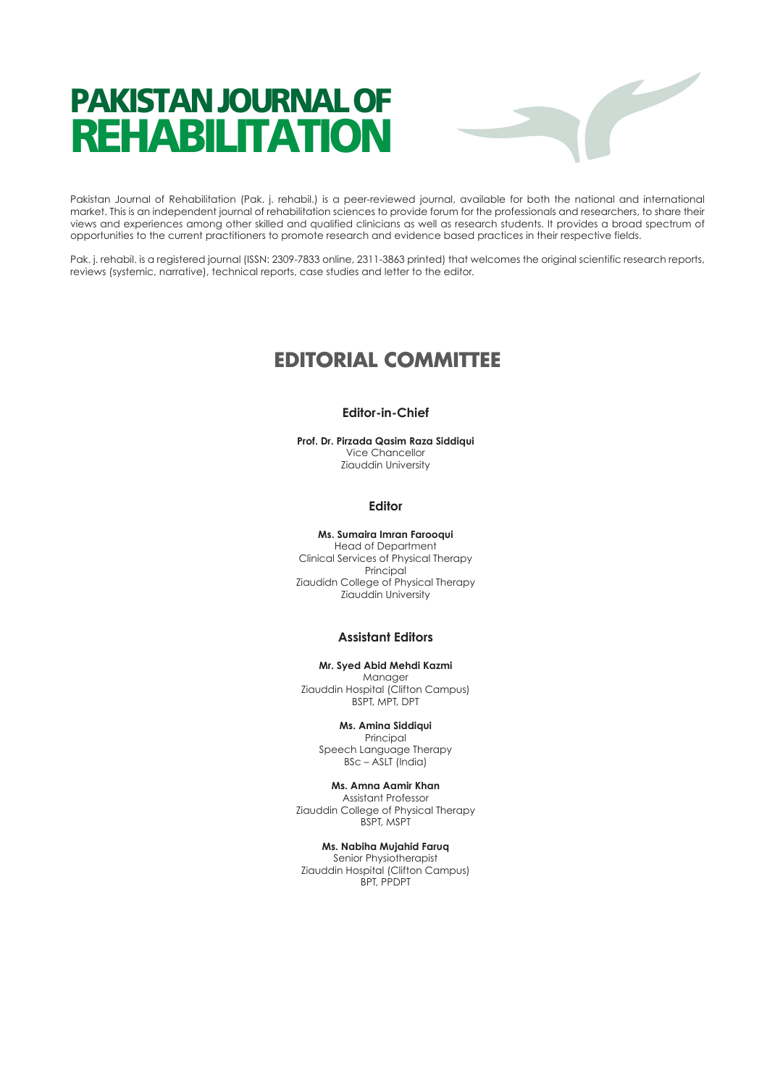# PAKISTAN JOURNAL OF REHABILITATION



Pakistan Journal of Rehabilitation (Pak. j. rehabil.) is a peer-reviewed journal, available for both the national and international market. This is an independent journal of rehabilitation sciences to provide forum for the professionals and researchers, to share their views and experiences among other skilled and qualified clinicians as well as research students. It provides a broad spectrum of opportunities to the current practitioners to promote research and evidence based practices in their respective fields.

Pak. j. rehabil. is a registered journal (ISSN: 2309-7833 online, 2311-3863 printed) that welcomes the original scientific research reports, reviews (systemic, narrative), technical reports, case studies and letter to the editor.

# **EDITORIAL COMMITTEE**

# **Editor-in-Chief**

**Prof. Dr. Pirzada Qasim Raza Siddiqui** Vice Chancellor Ziauddin University

#### **Editor**

#### **Ms. Sumaira Imran Farooqui**

Head of Department Clinical Services of Physical Therapy Principal Ziaudidn College of Physical Therapy Ziauddin University

# **Assistant Editors**

**Mr. Syed Abid Mehdi Kazmi** Manager Ziauddin Hospital (Clifton Campus) BSPT, MPT, DPT

# **Ms. Amina Siddiqui**

Principal Speech Language Therapy BSc – ASLT (India)

**Ms. Amna Aamir Khan** Assistant Professor Ziauddin College of Physical Therapy BSPT, MSPT

#### **Ms. Nabiha Mujahid Faruq**

Senior Physiotherapist Ziauddin Hospital (Clifton Campus) BPT, PPDPT